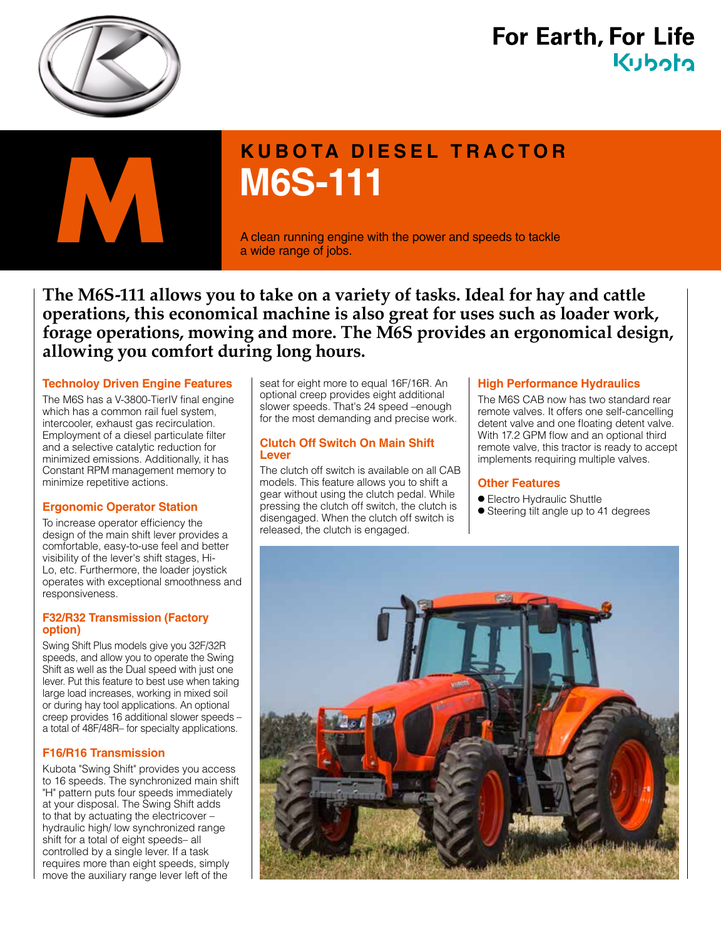

## **For Earth, For Life** Kuhoto



# **KUBOTA DIESEL TRACTOR M6S-111**

a wide range of jobs.

**The M6S-111 allows you to take on a variety of tasks. Ideal for hay and cattle operations, this economical machine is also great for uses such as loader work, forage operations, mowing and more. The M6S provides an ergonomical design, allowing you comfort during long hours.**

#### **Technoloy Driven Engine Features**

The M6S has a V-3800-TierIV final engine which has a common rail fuel system, intercooler, exhaust gas recirculation. Employment of a diesel particulate filter and a selective catalytic reduction for minimized emissions. Additionally, it has Constant RPM management memory to minimize repetitive actions.

#### **Ergonomic Operator Station**

To increase operator efficiency the design of the main shift lever provides a comfortable, easy-to-use feel and better visibility of the lever's shift stages, Hi-Lo, etc. Furthermore, the loader joystick operates with exceptional smoothness and responsiveness.

#### **F32/R32 Transmission (Factory option)**

Swing Shift Plus models give you 32F/32R speeds, and allow you to operate the Swing Shift as well as the Dual speed with just one lever. Put this feature to best use when taking large load increases, working in mixed soil or during hay tool applications. An optional creep provides 16 additional slower speeds – a total of 48F/48R– for specialty applications.

#### **F16/R16 Transmission**

Kubota "Swing Shift" provides you access to 16 speeds. The synchronized main shift "H" pattern puts four speeds immediately at your disposal. The Swing Shift adds to that by actuating the electricover – hydraulic high/ low synchronized range shift for a total of eight speeds– all controlled by a single lever. If a task requires more than eight speeds, simply move the auxiliary range lever left of the

seat for eight more to equal 16F/16R. An optional creep provides eight additional slower speeds. That's 24 speed –enough for the most demanding and precise work.

#### **Clutch Off Switch On Main Shift Lever**

The clutch off switch is available on all CAB models. This feature allows you to shift a gear without using the clutch pedal. While pressing the clutch off switch, the clutch is disengaged. When the clutch off switch is released, the clutch is engaged.

#### **High Performance Hydraulics**

The M6S CAB now has two standard rear remote valves. It offers one self-cancelling detent valve and one floating detent valve. With 17.2 GPM flow and an optional third remote valve, this tractor is ready to accept implements requiring multiple valves.

#### **Other Features**

- Electro Hydraulic Shuttle
- Steering tilt angle up to 41 degrees